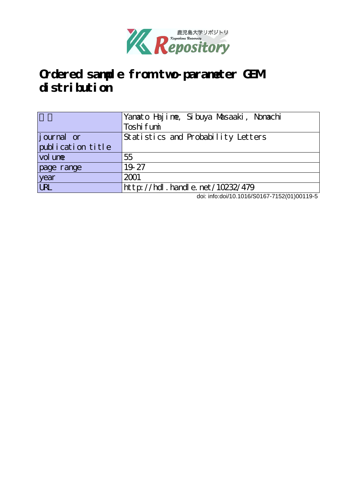

# **Ordered sample from two-parameter GEM distribution**

|                                   | Yanato Hajime, Sibuya Masaaki, Nonachi |
|-----------------------------------|----------------------------------------|
|                                   | Toshi fumi                             |
| <i>j</i> ournal or                | Statistics and Probability Letters     |
| publication title                 |                                        |
| vol une                           | 55                                     |
| page range                        | 19.27                                  |
| year                              | 2001                                   |
| $\overline{\overline{\text{UR}}}$ | http://hdl.handle.net/10232/479        |

doi: info:doi/10.1016/S0167-7152(01)00119-5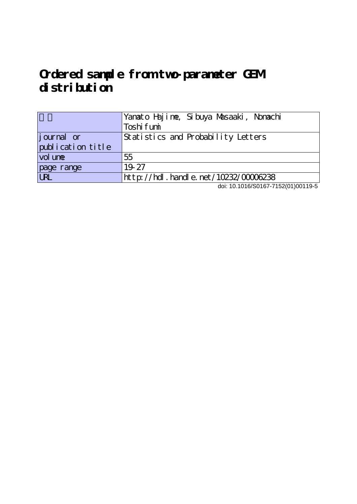## **Ordered sample from two-parameter GEM distribution**

|                   | Yanato Hajime, Sibuya Masaaki, Nonachi     |
|-------------------|--------------------------------------------|
|                   | Toshi fumi                                 |
| journal or        | Statistics and Probability Letters         |
| publication title |                                            |
| vol une           | 55                                         |
| page range        | 19.27                                      |
| URL               | $ht$ p: //hdl. handle. net /10232/00006238 |

doi: 10.1016/S0167-7152(01)00119-5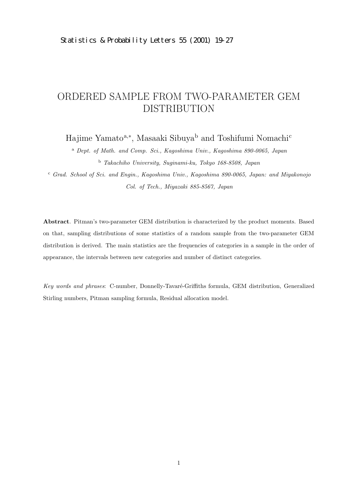### ORDERED SAMPLE FROM TWO-PARAMETER GEM DISTRIBUTION

Hajime Yamato<sup>a,∗</sup>, Masaaki Sibuya<sup>b</sup> and Toshifumi Nomachi<sup>c</sup>

<sup>a</sup> *Dept. of Math. and Comp. Sci., Kagoshima Univ., Kagoshima 890-0065, Japan* <sup>b</sup> *Takachiho University, Suginami-ku, Tokyo 168-8508, Japan*

<sup>c</sup> *Grad. School of Sci. and Engin., Kagoshima Univ., Kagoshima 890-0065, Japan: and Miyakonojo Col. of Tech., Miyazaki 885-8567, Japan*

**Abstract**. Pitman's two-parameter GEM distribution is characterized by the product moments. Based on that, sampling distributions of some statistics of a random sample from the two-parameter GEM distribution is derived. The main statistics are the frequencies of categories in a sample in the order of appearance, the intervals between new categories and number of distinct categories.

Key words and phrases: C-number, Donnelly-Tavaré-Griffiths formula, GEM distribution, Generalized Stirling numbers, Pitman sampling formula, Residual allocation model.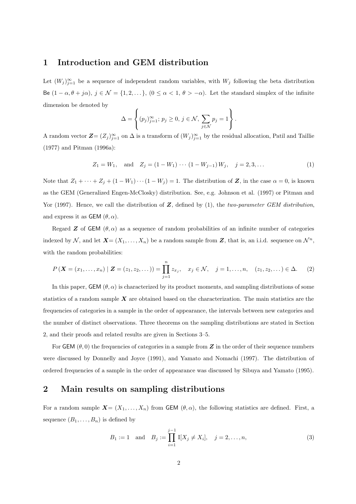### **1 Introduction and GEM distribution**

Let  $(W_j)_{j=1}^{\infty}$  be a sequence of independent random variables, with  $W_j$  following the beta distribution Be  $(1 - \alpha, \theta + j\alpha)$ ,  $j \in \mathcal{N} = \{1, 2, \dots\}$ ,  $(0 \leq \alpha < 1, \theta > -\alpha)$ . Let the standard simplex of the infinite dimension be denoted by

$$
\Delta = \left\{ (p_j)_{j=1}^{\infty}; \, p_j \ge 0, \, j \in \mathcal{N}, \, \sum_{j \in \mathcal{N}} p_j = 1 \right\}.
$$

A random vector  $\mathbf{Z} = (Z_j)_{j=1}^\infty$  on  $\Delta$  is a transform of  $(W_j)_{j=1}^\infty$  by the residual allocation, Patil and Taillie (1977) and Pitman (1996a):

$$
Z_1 = W_1
$$
, and  $Z_j = (1 - W_1) \cdots (1 - W_{j-1}) W_j$ ,  $j = 2, 3, \ldots$  (1)

Note that  $Z_1 + \cdots + Z_j + (1 - W_1) \cdots (1 - W_j) = 1$ . The distribution of **Z**, in the case  $\alpha = 0$ , is known as the GEM (Generalized Engen-McClosky) distribution. See, e.g. Johnson et al. (1997) or Pitman and Yor (1997). Hence, we call the distribution of *Z*, defined by (1), the *two-parameter GEM distribution*, and express it as  $GEM(\theta, \alpha)$ .

Regard **Z** of GEM  $(\theta, \alpha)$  as a sequence of random probabilities of an infinite number of categories indexed by N, and let  $X = (X_1, \ldots, X_n)$  be a random sample from Z, that is, an i.i.d. sequence on  $\mathcal{N}^n$ , with the random probabilities:

$$
P\left(\mathbf{X} = (x_1, \ldots, x_n) \mid \mathbf{Z} = (z_1, z_2, \ldots)\right) = \prod_{j=1}^n z_{x_j}, \quad x_j \in \mathcal{N}, \quad j = 1, \ldots, n, \quad (z_1, z_2, \ldots) \in \Delta. \tag{2}
$$

In this paper, GEM  $(\theta, \alpha)$  is characterized by its product moments, and sampling distributions of some statistics of a random sample *X* are obtained based on the characterization. The main statistics are the frequencies of categories in a sample in the order of appearance, the intervals between new categories and the number of distinct observations. Three theorems on the sampling distributions are stated in Section 2, and their proofs and related results are given in Sections 3–5.

For  $GEM(\theta, 0)$  the frequencies of categories in a sample from  $Z$  in the order of their sequence numbers were discussed by Donnelly and Joyce (1991), and Yamato and Nomachi (1997). The distribution of ordered frequencies of a sample in the order of appearance was discussed by Sibuya and Yamato (1995).

#### **2 Main results on sampling distributions**

For a random sample  $X = (X_1, \ldots, X_n)$  from GEM  $(\theta, \alpha)$ , the following statistics are defined. First, a sequence  $(B_1, \ldots, B_n)$  is defined by

$$
B_1 := 1
$$
 and  $B_j := \prod_{i=1}^{j-1} I[X_j \neq X_i], \quad j = 2, ..., n,$  (3)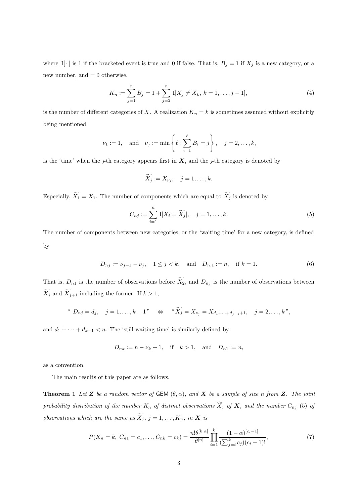where I[ $\cdot$ ] is 1 if the bracketed event is true and 0 if false. That is,  $B_j = 1$  if  $X_j$  is a new category, or a new number, and  $= 0$  otherwise.

$$
K_n := \sum_{j=1}^n B_j = 1 + \sum_{j=2}^n \mathbb{I}[X_j \neq X_k, k = 1, \dots, j-1],
$$
\n(4)

is the number of different categories of X. A realization  $K_n = k$  is sometimes assumed without explicitly being mentioned.

$$
\nu_1 := 1
$$
, and  $\nu_j := \min \left\{ \ell \, ; \, \sum_{i=1}^{\ell} B_i = j \right\}, \quad j = 2, \ldots, k$ ,

is the 'time' when the *j*-th category appears first in  $X$ , and the *j*-th category is denoted by

$$
\widetilde{X_j} := X_{\nu_j}, \quad j = 1, \ldots, k.
$$

Especially,  $\widetilde{X}_1 = X_1$ . The number of components which are equal to  $\widetilde{X}_j$  is denoted by

$$
C_{nj} := \sum_{i=1}^{n} \mathbb{I}[X_i = \widetilde{X}_j], \quad j = 1, ..., k.
$$
 (5)

The number of components between new categories, or the 'waiting time' for a new category, is defined by

$$
D_{nj} := \nu_{j+1} - \nu_j, \quad 1 \le j < k, \quad \text{and} \quad D_{n,1} := n, \quad \text{if } k = 1. \tag{6}
$$

That is,  $D_{n1}$  is the number of observations before  $\widetilde{X}_2$ , and  $D_{nj}$  is the number of observations between  $\widetilde{X}_j$  and  $\widetilde{X}_{j+1}$  including the former. If  $k > 1$ ,

" 
$$
D_{nj} = d_j
$$
,  $j = 1, ..., k - 1$ "  $\Leftrightarrow$  "  $\widetilde{X}_j = X_{\nu_j} = X_{d_1 + \dots + d_{j-1} + 1}$ ,  $j = 2, ..., k$ ",

and  $d_1 + \cdots + d_{k-1} < n$ . The 'still waiting time' is similarly defined by

$$
D_{nk} := n - \nu_k + 1
$$
, if  $k > 1$ , and  $D_{n1} := n$ ,

as a convention.

The main results of this paper are as follows.

**Theorem 1** Let *Z* be a random vector of GEM  $(\theta, \alpha)$ , and *X* be a sample of size n from **Z***.* The joint *probability distribution of the number*  $K_n$  *of distinct observations*  $\widetilde{X}_j$  *of*  $X$ *, and the number*  $C_{nj}$  (5) *of observations which are the same as*  $\widetilde{X}_j$ ,  $j = 1, \ldots, K_n$ , in **X** *is* 

$$
P(K_n = k, C_{n1} = c_1, ..., C_{nk} = c_k) = \frac{n! \theta^{[k:\alpha]}}{\theta^{[n]}} \prod_{i=1}^k \frac{(1-\alpha)^{[c_i-1]}}{(\sum_{j=i}^k c_j)(c_i-1)!},
$$
(7)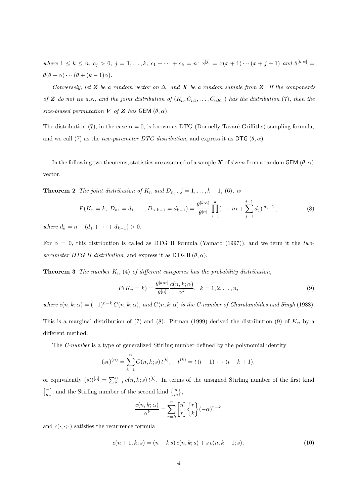*where*  $1 \leq k \leq n$ ,  $c_j > 0$ ,  $j = 1, ..., k$ ;  $c_1 + \cdots + c_k = n$ ;  $x^{[j]} = x(x+1)\cdots(x+j-1)$  *and*  $\theta^{[k:\alpha]} =$  $\theta(\theta + \alpha) \cdots (\theta + (k-1)\alpha).$ 

*Conversely, let*  $Z$  *be a random vector on*  $\Delta$ *, and*  $X$  *be a random sample from*  $Z$ *. If the components of Z do not tie a.s., and the joint distribution of*  $(K_n, C_{n1}, \ldots, C_{nK_n})$  has the distribution (7), then the *size-biased permutation*  $V$  *of*  $Z$  *has* GEM  $(\theta, \alpha)$ *.* 

The distribution (7), in the case  $\alpha = 0$ , is known as DTG (Donnelly-Tavaré-Griffiths) sampling formula, and we call (7) as the *two-parameter DTG distribution*, and express it as DTG  $(\theta, \alpha)$ .

In the following two theorems, statistics are assumed of a sample *X* of size n from a random GEM ( $\theta$ ,  $\alpha$ ) vector.

**Theorem 2** *The joint distribution of*  $K_n$  *and*  $D_{nj}$ *,*  $j = 1, \ldots, k - 1$ *,* (6*), is* 

$$
P(K_n = k, D_{n1} = d_1, ..., D_{n,k-1} = d_{k-1}) = \frac{\theta^{[k:\alpha]}}{\theta^{[n]}} \prod_{i=1}^k (1 - i\alpha + \sum_{j=1}^{i-1} d_j)^{[d_i - 1]},
$$
\n(8)

*where*  $d_k = n - (d_1 + \cdots + d_{k-1}) > 0$ *.* 

For  $\alpha = 0$ , this distribution is called as DTG II formula (Yamato (1997)), and we term it the *twoparameter DTG II distribution*, and express it as DTG II  $(\theta, \alpha)$ .

**Theorem 3** *The number*  $K_n$  (4) *of different categories has the probability distribution,* 

$$
P(K_n = k) = \frac{\theta^{[k:\alpha]}}{\theta^{[n]}} \frac{c(n,k;\alpha)}{\alpha^k}, \quad k = 1, 2, \dots, n,
$$
\n(9)

*where*  $c(n, k; \alpha) = (-1)^{n-k} C(n, k; \alpha)$ *, and*  $C(n, k; \alpha)$  *is the C-number of Charalambides and Singh* (1988).

This is a marginal distribution of (7) and (8). Pitman (1999) derived the distribution (9) of  $K_n$  by a different method.

The *C-number* is a type of generalized Stirling number defined by the polynomial identity

$$
(st)^{(n)} = \sum_{k=1}^{n} C(n,k;s) t^{[k]}, \quad t^{(k)} = t(t-1) \cdots (t-k+1),
$$

or equivalently  $(st)^{[n]} = \sum_{k=1}^{n} c(n, k; s) t^{[k]}$ . In terms of the unsigned Stirling number of the first kind  $\begin{bmatrix} n \\ m \end{bmatrix}$ , and the Stirling number of the second kind  $\begin{Bmatrix} n \\ m \end{Bmatrix}$ ,

$$
\frac{c(n,k;\alpha)}{\alpha^k} = \sum_{r=k}^n \begin{bmatrix} n \\ r \end{bmatrix} \begin{Bmatrix} r \\ k \end{Bmatrix} (-\alpha)^{r-k},
$$

and  $c(\cdot, \cdot; \cdot)$  satisfies the recurrence formula

$$
c(n+1,k;s) = (n-k s) c(n,k;s) + s c(n,k-1;s),
$$
\n(10)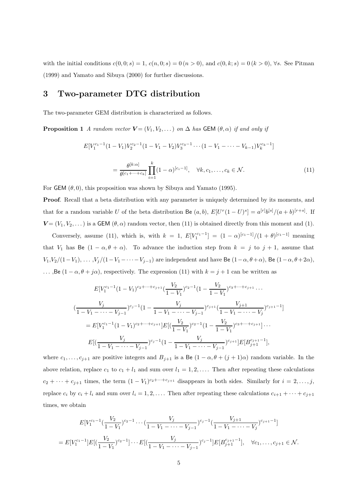with the initial conditions  $c(0, 0; s) = 1$ ,  $c(n, 0; s) = 0(n > 0)$ , and  $c(0, k; s) = 0(k > 0)$ ,  $\forall s$ . See Pitman (1999) and Yamato and Sibuya (2000) for further discussions.

#### **3 Two-parameter DTG distribution**

The two-parameter GEM distribution is characterized as follows.

**Proposition 1** *A random vector*  $V = (V_1, V_2, \dots)$  *on*  $\Delta$  *has* GEM  $(\theta, \alpha)$  *if and only if* 

$$
E[V_1^{c_1-1}(1-V_1)V_2^{c_2-1}(1-V_1-V_2)V_3^{c_3-1}\cdots(1-V_1-\cdots-V_{k-1})V_k^{c_k-1}]
$$
  
= 
$$
\frac{\theta^{[k:\alpha]}}{\theta^{[c_1+\cdots+c_k]}}\prod_{i=1}^k(1-\alpha)^{[c_i-1]}, \quad \forall k, c_1, \ldots, c_k \in \mathcal{N}.
$$
 (11)

For GEM  $(\theta, 0)$ , this proposition was shown by Sibuya and Yamato (1995).

**Proof.** Recall that a beta distribution with any parameter is uniquely determined by its moments, and that for a random variable U of the beta distribution Be  $(a, b)$ ,  $E[U^r(1-U)^s] = a^{[r]}b^{[s]}/(a+b)^{[r+s]}$ . If  $V = (V_1, V_2, \dots)$  is a GEM  $(\theta, \alpha)$  random vector, then (11) is obtained directly from this moment and (1).

Conversely, assume (11), which is, with  $k = 1$ ,  $E[V_1^{c_1-1}] = (1 - \alpha)^{[c_1-1]}/(1 + \theta)^{[c_1-1]}$  meaning that  $V_1$  has Be  $(1 - \alpha, \theta + \alpha)$ . To advance the induction step from  $k = j$  to  $j + 1$ , assume that  $V_1,V_2/(1-V_1),\ldots,V_j/(1-V_1-\cdots-V_{j-1})$  are independent and have Be  $(1-\alpha,\theta+\alpha)$ , Be  $(1-\alpha,\theta+2\alpha)$ , ..., Be  $(1 − \alpha, \theta + j\alpha)$ , respectively. The expression (11) with  $k = j + 1$  can be written as

$$
E[V_1^{c_1-1}(1 - V_1)^{c_2 + \dots + c_{j+1}}(\frac{V_2}{1 - V_1})^{c_2-1}(1 - \frac{V_2}{1 - V_1})^{c_3 + \dots + c_{j+1}} \dots
$$
  

$$
(\frac{V_j}{1 - V_1 - \dots - V_{j-1}})^{c_j-1}(1 - \frac{V_j}{1 - V_1 - \dots - V_{j-1}})^{c_{j+1}}(\frac{V_{j+1}}{1 - V_1 - \dots - V_j})^{c_{j+1}-1}]
$$
  

$$
= E[V_1^{c_1-1}(1 - V_1)^{c_2 + \dots + c_{j+1}}]E[(\frac{V_2}{1 - V_1})^{c_2-1}(1 - \frac{V_2}{1 - V_1})^{c_3 + \dots + c_{j+1}}] \dots
$$
  

$$
E[(\frac{V_j}{1 - V_1 - \dots - V_{j-1}})^{c_j-1}(1 - \frac{V_j}{1 - V_1 - \dots - V_{j-1}})^{c_{j+1}}]E[B_{j+1}^{c_{j+1}-1}],
$$

where  $c_1,\ldots,c_{j+1}$  are positive integers and  $B_{j+1}$  is a Be  $(1-\alpha,\theta+(j+1)\alpha)$  random variable. In the above relation, replace  $c_1$  to  $c_1 + l_1$  and sum over  $l_1 = 1, 2, \ldots$ . Then after repeating these calculations  $c_2 + \cdots + c_{j+1}$  times, the term  $(1 - V_1)^{c_2 + \cdots + c_{j+1}}$  disappears in both sides. Similarly for  $i = 2, \ldots, j$ , replace  $c_i$  by  $c_i + l_i$  and sum over  $l_i = 1, 2, \ldots$ . Then after repeating these calculations  $c_{i+1} + \cdots + c_{j+1}$ times, we obtain

$$
E[V_1^{c_1-1}(\frac{V_2}{1-V_1})^{c_2-1}\cdots(\frac{V_j}{1-V_1-\cdots-V_{j-1}})^{c_j-1}(\frac{V_{j+1}}{1-V_1-\cdots-V_j})^{c_{j+1}-1}]
$$
  
= 
$$
E[V_1^{c_1-1}]E[(\frac{V_2}{1-V_1})^{c_2-1}]\cdots E[(\frac{V_j}{1-V_1-\cdots-V_{j-1}})^{c_j-1}]E[B_{j+1}^{c_{j+1}-1}], \quad \forall c_1,\ldots,c_{j+1} \in \mathcal{N}.
$$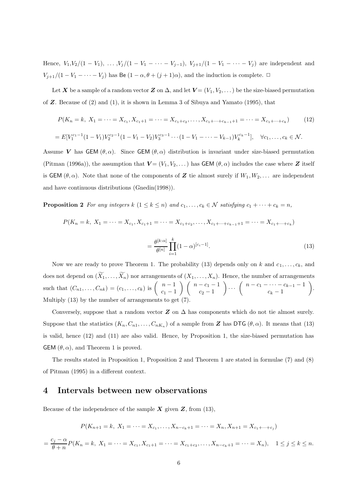Hence,  $V_1, V_2/(1 - V_1), \ldots, V_j/(1 - V_1 - \cdots - V_{j-1}), V_{j+1}/(1 - V_1 - \cdots - V_j)$  are independent and  $V_{j+1}/(1-V_1-\cdots-V_j)$  has Be  $(1-\alpha, \theta+(j+1)\alpha)$ , and the induction is complete.  $\Box$ 

Let *X* be a sample of a random vector *Z* on  $\Delta$ , and let  $V = (V_1, V_2, \dots)$  be the size-biased permutation of *Z*. Because of (2) and (1), it is shown in Lemma 3 of Sibuya and Yamato (1995), that

$$
P(K_n = k, X_1 = \dots = X_{c_1}, X_{c_1+1} = \dots = X_{c_1+c_2}, \dots, X_{c_1+\dots+c_{k-1}+1} = \dots = X_{c_1+\dots+c_k})
$$
(12)  
=  $E[V_1^{c_1-1}(1-V_1)V_2^{c_2-1}(1-V_1-V_2)V_3^{c_3-1}\cdots(1-V_1-\dots-V_{k-1})V_k^{c_k-1}], \quad \forall c_1, \dots, c_k \in \mathcal{N}.$ 

Assume *V* has GEM  $(\theta, \alpha)$ . Since GEM  $(\theta, \alpha)$  distribution is invariant under size-biased permutation (Pitman (1996a)), the assumption that  $V = (V_1, V_2, \dots)$  has GEM  $(\theta, \alpha)$  includes the case where **Z** itself is GEM  $(\theta, \alpha)$ . Note that none of the components of **Z** tie almost surely if  $W_1, W_2, \ldots$  are independent and have continuous distributions (Gnedin(1998)).

**Proposition 2** *For any integers*  $k$  ( $1 \leq k \leq n$ ) *and*  $c_1, \ldots, c_k \in \mathcal{N}$  *satisfying*  $c_1 + \cdots + c_k = n$ ,

$$
P(K_n = k, X_1 = \dots = X_{c_1}, X_{c_1+1} = \dots = X_{c_1+c_2}, \dots, X_{c_1+\dots+c_{k-1}+1} = \dots = X_{c_1+\dots+c_k})
$$

$$
= \frac{\theta^{[k:\alpha]}}{\theta^{[n]}} \prod_{i=1}^k (1-\alpha)^{[c_i-1]}.
$$
(13)

Now we are ready to prove Theorem 1. The probability (13) depends only on k and  $c_1, \ldots, c_k$ , and does not depend on  $(\widetilde{X}_1,\ldots,\widetilde{X}_n)$  nor arrangements of  $(X_1,\ldots,X_n)$ . Hence, the number of arrangements such that  $(C_{n1},...,C_{nk}) = (c_1,...,c_k)$  is  $\begin{pmatrix} n-1 \\ c_1 - 1 \end{pmatrix}$  $\binom{n-c_1-1}{n}$  $c_2 - 1$  $\bigg) \cdots \left( \begin{array}{c} n - c_1 - \cdots - c_{k-1} - 1 \\ c_k - 1 \end{array} \right)$  $\setminus$ . Multiply (13) by the number of arrangements to get (7).

Conversely, suppose that a random vector  $Z$  on  $\Delta$  has components which do not tie almost surely. Suppose that the statistics  $(K_n, C_{n1}, \ldots, C_{nK_n})$  of a sample from *Z* has DTG  $(\theta, \alpha)$ . It means that (13) is valid, hence (12) and (11) are also valid. Hence, by Proposition 1, the size-biased permutation has GEM  $(\theta, \alpha)$ , and Theorem 1 is proved.

The results stated in Proposition 1, Proposition 2 and Theorem 1 are stated in formulae (7) and (8) of Pitman (1995) in a different context.

#### **4 Intervals between new observations**

Because of the independence of the sample  $\boldsymbol{X}$  given  $\boldsymbol{Z}$ , from (13),

$$
P(K_{n+1} = k, X_1 = \dots = X_{c_1}, \dots, X_{n-c_k+1} = \dots = X_n, X_{n+1} = X_{c_1 + \dots + c_j})
$$

$$
=\frac{c_j-\alpha}{\theta+n}P(K_n=k, X_1=\cdots=X_{c_1}, X_{c_1+1}=\cdots=X_{c_1+c_2},\ldots, X_{n-c_k+1}=\cdots=X_n), \quad 1\leq j\leq k\leq n.
$$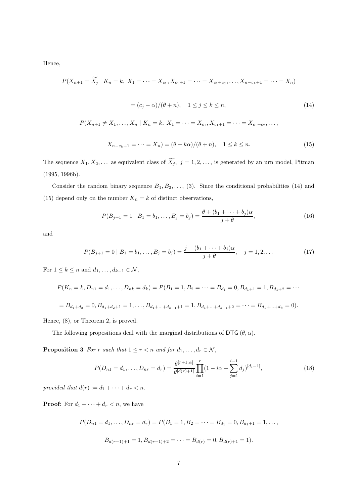Hence,

$$
P(X_{n+1} = \widetilde{X}_j \mid K_n = k, \ X_1 = \dots = X_{c_1}, X_{c_1+1} = \dots = X_{c_1+c_2}, \dots, X_{n-c_k+1} = \dots = X_n)
$$

$$
= (c_j - \alpha) / (\theta + n), \quad 1 \le j \le k \le n,
$$
(14)
$$
P(X_{n+1} \ne X_1, \dots, X_n \mid K_n = k, \ X_1 = \dots = X_{c_1}, X_{c_1+1} = \dots = X_{c_1+c_2}, \dots,
$$

$$
X_{n-c_k+1} = \dots = X_n) = (\theta + k\alpha) / (\theta + n), \quad 1 \le k \le n.
$$
(15)

The sequence  $X_1, X_2, \ldots$  as equivalent class of  $\widetilde{X}_j$ ,  $j = 1, 2, \ldots$ , is generated by an urn model, Pitman (1995, 1996b).

Consider the random binary sequence  $B_1, B_2, \ldots$ , (3). Since the conditional probabilities (14) and (15) depend only on the number  $K_n = k$  of distinct observations,

$$
P(B_{j+1} = 1 | B_1 = b_1, ..., B_j = b_j) = \frac{\theta + (b_1 + \dots + b_j)\alpha}{j + \theta},
$$
\n(16)

and

$$
P(B_{j+1} = 0 \mid B_1 = b_1, \dots, B_j = b_j) = \frac{j - (b_1 + \dots + b_j)\alpha}{j + \theta}, \quad j = 1, 2, \dots
$$
\n(17)

For  $1 \leq k \leq n$  and  $d_1, \ldots, d_{k-1} \in \mathcal{N}$ ,

$$
P(K_n = k, D_{n1} = d_1, \dots, D_{nk} = d_k) = P(B_1 = 1, B_2 = \dots = B_{d_1} = 0, B_{d_1+1} = 1, B_{d_1+2} = \dots
$$
  
=  $B_{d_1+d_2} = 0, B_{d_1+d_2+1} = 1, \dots, B_{d_1+\dots+d_{k-1}+1} = 1, B_{d_1+\dots+d_{k-1}+2} = \dots = B_{d_1+\dots+d_k} = 0).$ 

Hence, (8), or Theorem 2, is proved.

The following propositions deal with the marginal distributions of DTG  $(\theta, \alpha)$ .

**Proposition 3** *For* r *such that*  $1 \leq r < n$  *and for*  $d_1, \ldots, d_r \in \mathcal{N}$ ,

$$
P(D_{n1} = d_1, \dots, D_{nr} = d_r) = \frac{\theta^{[r+1:\alpha]}}{\theta^{[d(r)+1]}} \prod_{i=1}^r (1 - i\alpha + \sum_{j=1}^{i-1} d_j)^{[d_i-1]},
$$
\n(18)

*provided that*  $d(r) := d_1 + \cdots + d_r < n$ .

**Proof:** For  $d_1 + \cdots + d_r < n$ , we have

$$
P(D_{n1} = d_1, ..., D_{nr} = d_r) = P(B_1 = 1, B_2 = ... = B_{d_1} = 0, B_{d_1+1} = 1, ...,
$$
  

$$
B_{d(r-1)+1} = 1, B_{d(r-1)+2} = ... = B_{d(r)} = 0, B_{d(r)+1} = 1).
$$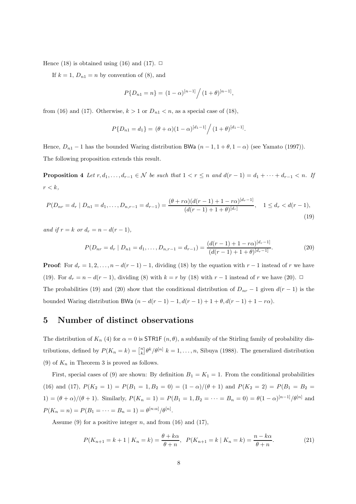Hence (18) is obtained using (16) and (17).  $\Box$ 

If  $k = 1$ ,  $D_{n1} = n$  by convention of (8), and

$$
P\{D_{n1} = n\} = (1 - \alpha)^{[n-1]}/(1 + \theta)^{[n-1]},
$$

from (16) and (17). Otherwise,  $k > 1$  or  $D_{n1} < n$ , as a special case of (18),

$$
P\{D_{n1} = d_1\} = (\theta + \alpha)(1 - \alpha)^{[d_1 - 1]}/(1 + \theta)^{[d_1 - 1]}.
$$

Hence,  $D_{n1} - 1$  has the bounded Waring distribution BWa  $(n - 1, 1 + \theta, 1 - \alpha)$  (see Yamato (1997)). The following proposition extends this result.

**Proposition 4** *Let*  $r, d_1, \ldots, d_{r-1} \in \mathcal{N}$  *be such that*  $1 < r \leq n$  *and*  $d(r-1) = d_1 + \cdots + d_{r-1} < n$ *. If*  $r < k$ ,

$$
P(D_{nr} = d_r | D_{n1} = d_1, ..., D_{n,r-1} = d_{r-1}) = \frac{(\theta + r\alpha)(d(r-1) + 1 - r\alpha)^{[d_r-1]}}{(d(r-1) + 1 + \theta)^{[d_r]}}, \quad 1 \le d_r < d(r-1),
$$
\n(19)

*and if*  $r = k$  *or*  $d_r = n - d(r - 1)$ *,* 

$$
P(D_{nr} = d_r | D_{n1} = d_1, ..., D_{n,r-1} = d_{r-1}) = \frac{(d(r-1) + 1 - r\alpha)^{[d_r - 1]}}{(d(r-1) + 1 + \theta)^{[d_r - 1]}}.
$$
\n(20)

**Proof:** For  $d_r = 1, 2, \ldots, n - d(r - 1) - 1$ , dividing (18) by the equation with  $r - 1$  instead of r we have (19). For  $d_r = n - d(r - 1)$ , dividing (8) with  $k = r$  by (18) with  $r - 1$  instead of r we have (20).  $\Box$ The probabilities (19) and (20) show that the conditional distribution of  $D_{nr} - 1$  given  $d(r - 1)$  is the bounded Waring distribution BWa  $(n - d(r - 1) - 1, d(r - 1) + 1 + \theta, d(r - 1) + 1 - r\alpha)$ .

#### **5 Number of distinct observations**

The distribution of  $K_n$  (4) for  $\alpha = 0$  is **STR1F**  $(n, \theta)$ , a subfamily of the Stirling family of probability distributions, defined by  $P(K_n = k) = \binom{n}{k} \theta^k / \theta^{[n]}$   $k = 1, ..., n$ , Sibuya (1988). The generalized distribution (9) of  $K_n$  in Theorem 3 is proved as follows.

First, special cases of (9) are shown: By definition  $B_1 = K_1 = 1$ . From the conditional probabilities (16) and (17),  $P(K_2 = 1) = P(B_1 = 1, B_2 = 0) = (1 - \alpha)/(\theta + 1)$  and  $P(K_2 = 2) = P(B_1 = B_2 = 1)$ 1) =  $(\theta + \alpha)/(\theta + 1)$ . Similarly,  $P(K_n = 1) = P(B_1 = 1, B_2 = \cdots = B_n = 0) = \theta(1 - \alpha)^{[n-1]}/\theta^{[n]}$  and  $P(K_n = n) = P(B_1 = \cdots = B_n = 1) = \theta^{[n:\alpha]}/\theta^{[n]}$ .

Assume (9) for a positive integer n, and from  $(16)$  and  $(17)$ ,

$$
P(K_{n+1} = k+1 | K_n = k) = \frac{\theta + k\alpha}{\theta + n}, \ \ P(K_{n+1} = k | K_n = k) = \frac{n - k\alpha}{\theta + n}.
$$
 (21)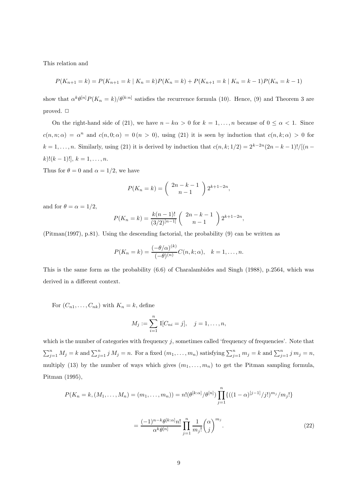This relation and

$$
P(K_{n+1} = k) = P(K_{n+1} = k | K_n = k)P(K_n = k) + P(K_{n+1} = k | K_n = k-1)P(K_n = k-1)
$$

show that  $\alpha^k \theta^{[n]} P(K_n = k) / \theta^{[k:n]}$  satisfies the recurrence formula (10). Hence, (9) and Theorem 3 are proved.  $\Box$ 

On the right-hand side of (21), we have  $n - k\alpha > 0$  for  $k = 1, ..., n$  because of  $0 \leq \alpha < 1$ . Since  $c(n, n; \alpha) = \alpha^n$  and  $c(n, 0; \alpha) = 0$   $(n > 0)$ , using (21) it is seen by induction that  $c(n, k; \alpha) > 0$  for  $k = 1, \ldots, n$ . Similarly, using (21) it is derived by induction that  $c(n, k; 1/2) = 2^{k-2n}(2n - k - 1)!/[(n - 1)/2]$  $k$ )! $(k-1)$ !],  $k = 1, \ldots, n$ .

Thus for  $\theta = 0$  and  $\alpha = 1/2$ , we have

$$
P(K_n = k) = \binom{2n - k - 1}{n - 1} 2^{k+1-2n},
$$

and for  $\theta = \alpha = 1/2$ ,

$$
P(K_n = k) = \frac{k(n-1)!}{(3/2)^{[n-1]}} \binom{2n-k-1}{n-1} 2^{k+1-2n},
$$

(Pitman(1997), p.81). Using the descending factorial, the probability (9) can be written as

$$
P(K_n = k) = \frac{(-\theta/\alpha)^{(k)}}{(-\theta)^{(n)}} C(n, k; \alpha), \quad k = 1, \dots, n.
$$

This is the same form as the probability (6.6) of Charalambides and Singh (1988), p.2564, which was derived in a different context.

For  $(C_{n1},\ldots,C_{nk})$  with  $K_n = k$ , define

$$
M_j := \sum_{i=1}^n \mathbb{I}[C_{ni} = j], \quad j = 1, \dots, n,
$$

which is the number of categories with frequency  $j$ , sometimes called 'frequency of frequencies'. Note that  $\sum_{j=1}^n M_j = k$  and  $\sum_{j=1}^n j M_j = n$ . For a fixed  $(m_1, \ldots, m_n)$  satisfying  $\sum_{j=1}^n m_j = k$  and  $\sum_{j=1}^n j m_j = n$ , multiply (13) by the number of ways which gives  $(m_1, \ldots, m_n)$  to get the Pitman sampling formula, Pitman (1995),

$$
P(K_n = k, (M_1, ..., M_n) = (m_1, ..., m_n)) = n! (\theta^{[k:\alpha]} / \theta^{[n]}) \prod_{j=1}^n \{((1-\alpha)^{[j-1]}/j!)^{m_j} / m_j!\}
$$

$$
= \frac{(-1)^{n-k} \theta^{[k:\alpha]} n!}{\alpha^k \theta^{[n]}} \prod_{j=1}^n \frac{1}{m_j!} {\alpha \choose j}^{m_j}.
$$
(22)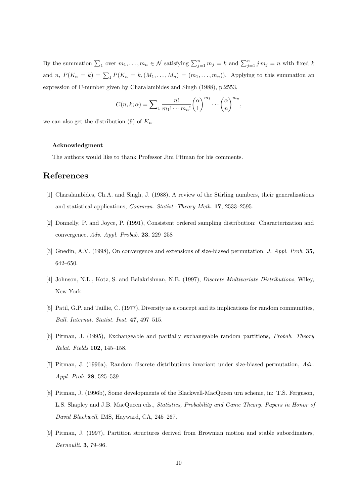By the summation  $\sum_1$  over  $m_1, \ldots, m_n \in \mathcal{N}$  satisfying  $\sum_{j=1}^n m_j = k$  and  $\sum_{j=1}^n j m_j = n$  with fixed k and n,  $P(K_n = k) = \sum_{1} P(K_n = k, (M_1, \ldots, M_n) = (m_1, \ldots, m_n))$ . Applying to this summation an expression of C-number given by Charalambides and Singh (1988), p.2553,

$$
C(n,k;\alpha) = \sum_{1} \frac{n!}{m_1! \cdots m_n!} {\binom{\alpha}{1}}^{m_1} \cdots {\binom{\alpha}{n}}^{m_n},
$$

we can also get the distribution (9) of  $K_n$ .

#### **Acknowledgment**

The authors would like to thank Professor Jim Pitman for his comments.

#### **References**

- [1] Charalambides, Ch.A. and Singh, J. (1988), A review of the Stirling numbers, their generalizations and statistical applications, *Commun. Statist.-Theory Meth.* **17**, 2533–2595.
- [2] Donnelly, P. and Joyce, P. (1991), Consistent ordered sampling distribution: Characterization and convergence, *Adv. Appl. Probab.* **23**, 229–258
- [3] Gnedin, A.V. (1998), On convergence and extensions of size-biased permutation, *J. Appl. Prob.* **35**, 642–650.
- [4] Johnson, N.L., Kotz, S. and Balakrishnan, N.B. (1997), *Discrete Multivariate Distributions*, Wiley, New York.
- [5] Patil, G.P. and Taillie, C. (1977), Diversity as a concept and its implications for random communities, *Bull. Internat. Statist. Inst.* **47**, 497–515.
- [6] Pitman, J. (1995), Exchangeable and partially exchangeable random partitions, *Probab. Theory Relat. Fields* **102**, 145–158.
- [7] Pitman, J. (1996a), Random discrete distributions invariant under size-biased permutation, *Adv. Appl. Prob.* **28**, 525–539.
- [8] Pitman, J. (1996b), Some developments of the Blackwell-MacQueen urn scheme, in: T.S. Ferguson, L.S. Shapley and J.B. MacQueen eds., *Statistics, Probability and Game Theory. Papers in Honor of David Blackwell*, IMS, Hayward, CA, 245–267.
- [9] Pitman, J. (1997), Partition structures derived from Brownian motion and stable subordinaters, *Bernoulli*. **3**, 79–96.